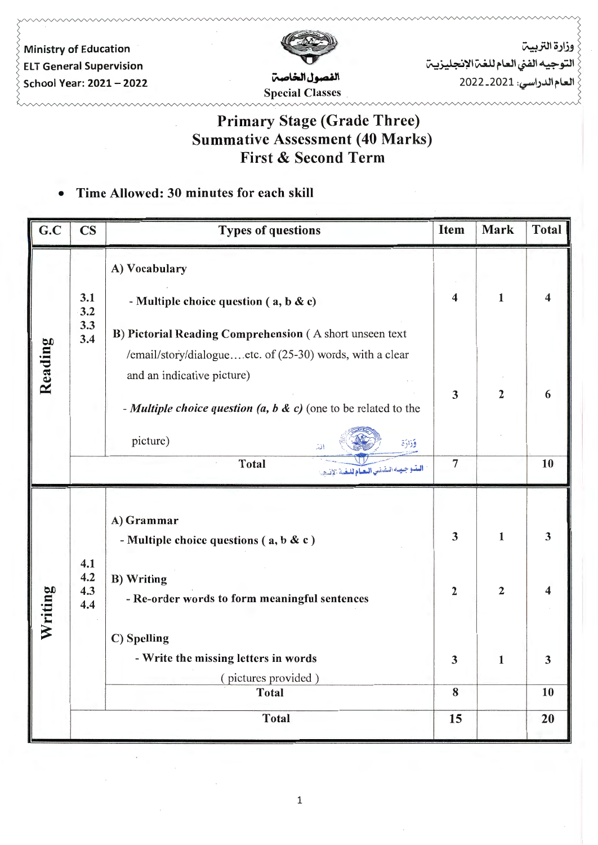

وزارة التربيت التوجيه الفني العام للغت الإنجليزيت العام الدراسي: 2021-2022

# Primary Stage (Grade Three) Summative Assessment (40 Marks) First & Second Term

### • Time Allowed: 30 minutes for each skill

| G.C     | $\mathbf{CS}$     | <b>Types of questions</b>                                                                                                                                                                                                                        | Item                    | Mark           | Total |
|---------|-------------------|--------------------------------------------------------------------------------------------------------------------------------------------------------------------------------------------------------------------------------------------------|-------------------------|----------------|-------|
|         | 3.1<br>3.2        | A) Vocabulary<br>- Multiple choice question (a, b & c)                                                                                                                                                                                           | $\overline{\mathbf{4}}$ | $\mathbf{1}$   | 4     |
| Reading | 3.3<br>3.4        | B) Pictorial Reading Comprehension (A short unseen text<br>/email/story/dialogueetc. of (25-30) words, with a clear<br>and an indicative picture)<br>- Multiple choice question (a, b & c) (one to be related to the<br>picture)<br>وزارة<br>انت | $\mathbf{3}$            | $\overline{2}$ | 6     |
|         |                   | <b>Total</b><br>البتيوجيدة التفتني التعبام للتغية الإنسجيا                                                                                                                                                                                       | $\overline{7}$          |                | 10    |
|         | 4.1               | A) Grammar<br>- Multiple choice questions ( $a, b & c$ )                                                                                                                                                                                         | $\overline{\mathbf{3}}$ | $\mathbf{1}$   | 3     |
| Writing | 4.2<br>4.3<br>4.4 | <b>B)</b> Writing<br>- Re-order words to form meaningful sentences<br>C) Spelling                                                                                                                                                                | $\overline{2}$          | $\overline{2}$ | 4     |
|         |                   | - Write the missing letters in words<br>(pictures provided)                                                                                                                                                                                      | 3                       | 1              | 3     |
|         |                   | <b>Total</b>                                                                                                                                                                                                                                     | 8                       |                | 10    |
|         |                   | <b>Total</b>                                                                                                                                                                                                                                     | 15                      |                | 20    |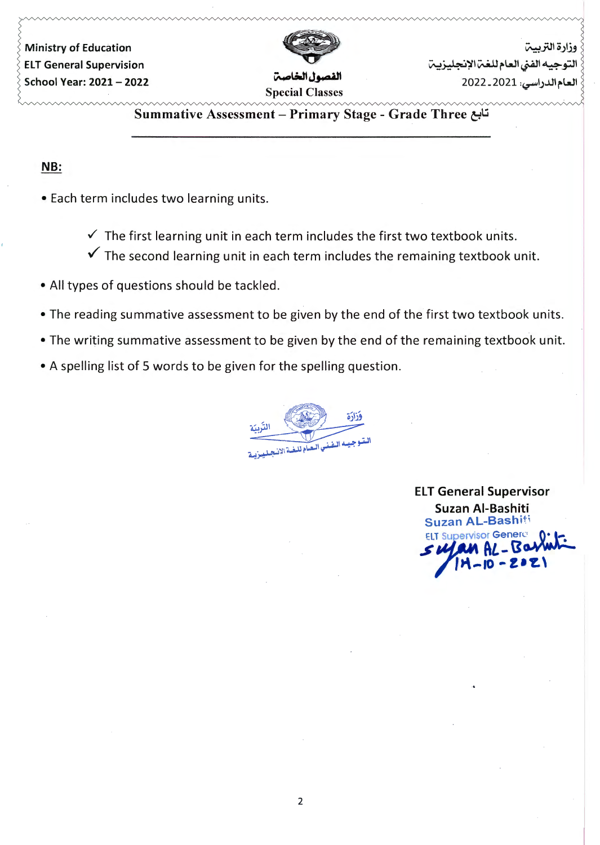

وزارة التربيب التوحيه الفني العام للغي الإنحليزيين لعام الدراسي: 2021-2022

Summative Assessment - Primary Stage - Grade Three تابع

#### NB:

- Each term includes two learning units.
	- $\checkmark$  The first learning unit in each term includes the first two textbook units.
	- $\checkmark$  The second learning unit in each term includes the remaining textbook unit.
- •All types of questions should be tackled.
- •The reading summative assessment to be given by the end of the first two textbook units.
- •The writing summative assessment to be given by the end of the remaining textbook unit.
- A spelling list of 5 words to be given for the spelling question.



**ELT General Supervisor** Suzan Al-Bashiti Suzan AL-Bashiti  $\mu$ an AL - Bart  $\frac{1}{2}$ <br> $\frac{1}{2}$ <br> $\frac{1}{2}$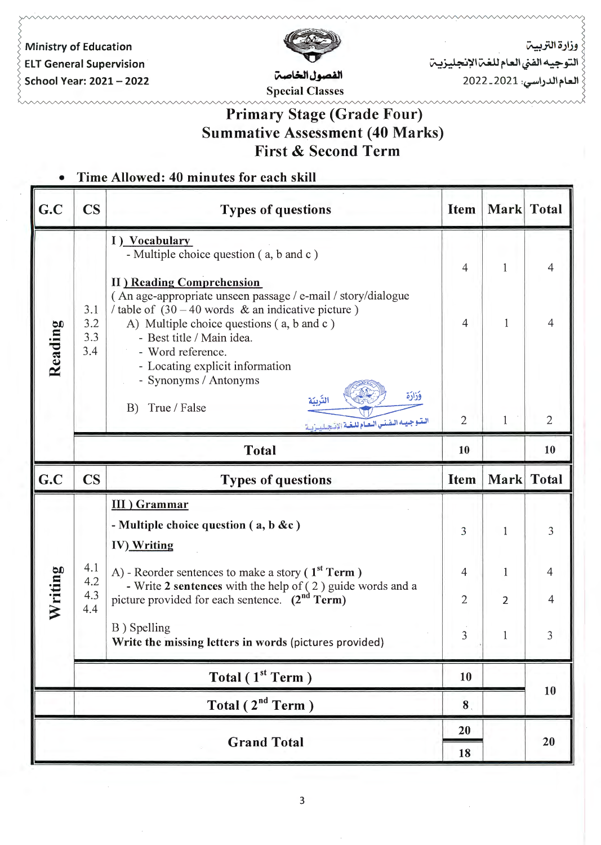

وزارة التربيت التوجيه الفنى العام للغت الإنجليزيت

العام الدراسي: 2021-2022

# Primary Stage (Grade Four) Summative Assessment (40 Marks) First & Second Term

### • Time Allowed: 40 minutes for each skill

| G.C     | $\overline{\mathbf{C}}$  | <b>Types of questions</b>                                                                                                                                                                                                                                                                                         | <b>Item</b>          | Mark Total     |                      |
|---------|--------------------------|-------------------------------------------------------------------------------------------------------------------------------------------------------------------------------------------------------------------------------------------------------------------------------------------------------------------|----------------------|----------------|----------------------|
| Reading |                          | I) Vocabulary<br>- Multiple choice question (a, b and c)<br><b>II</b> ) Reading Comprehension                                                                                                                                                                                                                     | $\overline{4}$       | 1              | 4                    |
|         | 3.1<br>3.2<br>3.3<br>3.4 | (An age-appropriate unseen passage / e-mail / story/dialogue<br>/ table of $(30 - 40$ words & an indicative picture)<br>A) Multiple choice questions (a, b and c)<br>- Best title / Main idea.<br>- Word reference.<br>- Locating explicit information<br>- Synonyms / Antonyms<br>وَزَارَة<br>True / False<br>B) | $\overline{4}$       | $\mathbf{1}$   | $\overline{4}$       |
|         |                          | الستوجيسه التفنني البعيام للغية الإنجيلييزيية<br><b>Total</b>                                                                                                                                                                                                                                                     | $\overline{2}$<br>10 | $\mathbf{1}$   | $\overline{2}$<br>10 |
| G.C     | $\mathbf{CS}$            | <b>Types of questions</b>                                                                                                                                                                                                                                                                                         | <b>Item</b>          | Mark Total     |                      |
|         |                          | <b>III</b> ) Grammar                                                                                                                                                                                                                                                                                              |                      |                |                      |
| Writing |                          | - Multiple choice question $(a, b \&c)$<br>IV) Writing                                                                                                                                                                                                                                                            | 3                    | 1              | 3                    |
|         | 4.1<br>4.2               | A) - Reorder sentences to make a story $(1st Term)$                                                                                                                                                                                                                                                               | $\overline{4}$       | 1              | $\overline{4}$       |
|         | 4.3<br>4.4               | - Write 2 sentences with the help of (2) guide words and a<br>picture provided for each sentence. (2 <sup>nd</sup> Term)                                                                                                                                                                                          | 2                    | $\overline{2}$ | 4                    |
|         |                          |                                                                                                                                                                                                                                                                                                                   |                      |                |                      |
|         |                          | B) Spelling<br>Write the missing letters in words (pictures provided)                                                                                                                                                                                                                                             | 3                    |                | 3                    |
|         |                          | Total $(1st Term)$                                                                                                                                                                                                                                                                                                | 10                   |                |                      |
|         |                          | Total $(2^{nd}$ Term)                                                                                                                                                                                                                                                                                             | 8 <sub>1</sub>       |                | 10                   |
|         |                          | <b>Grand Total</b>                                                                                                                                                                                                                                                                                                | 20                   |                | 20                   |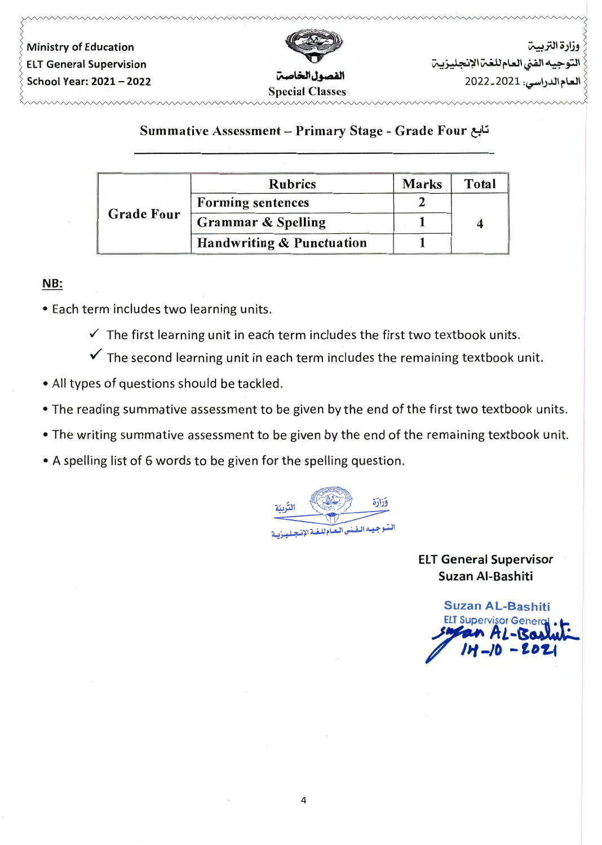

وزارة التربيبة التوجيه الفني العام للغتن الإنجليزيتن العام الدراسي: 2021-2022

### Summative Assessment - Primary Stage - Grade Four تابع

|                   | <b>Rubrics</b>                | <b>Marks</b> | <b>Total</b> |
|-------------------|-------------------------------|--------------|--------------|
|                   | <b>Forming sentences</b>      |              |              |
| <b>Grade Four</b> | <b>Grammar &amp; Spelling</b> |              |              |
|                   | Handwriting & Punctuation     |              |              |

#### NB:

- Each term includes two learning units.
	- $\checkmark$  The first learning unit in each term includes the first two textbook units.
	- $\checkmark$  The second learning unit in each term includes the remaining textbook unit.
- •All types of questions should be tackled.
- •The reading summative assessment to be given by the end of the first two textbook units.
- •The writing summative assessment to be given by the end of the remaining textbook unit.
- •A spelling list of 6 words to be given for the spelling question.

وَزَارَة التريد ليتبوجيبه اليفنس البعياه للبغ

ELT General Supervisor Suzan Al-Bashiti

Suzan AL-Bashiti **ELT Supervisor Gener**  $A$  $-202$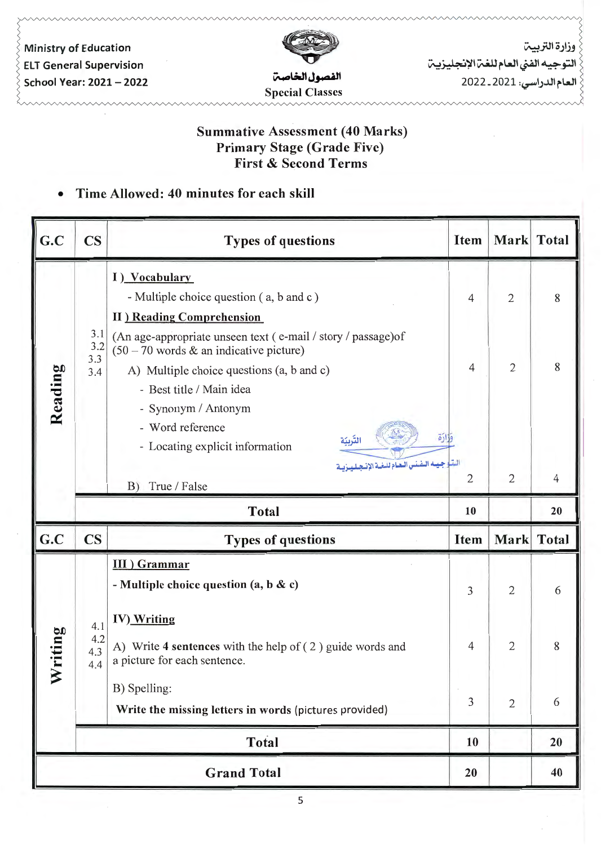

وزارة التربيت التوجيه الفنى العام للغت الإنجليزيت العام الدراسي: 2021 ـ 2022

## Summative Assessment (40 Marks) Primary Stage (Grade Five) First & Second Terms

## • Time Allowed: 40 minutes for each skill

| G.C         | <b>CS</b>                | <b>Types of questions</b>                                                                                                                                                           | <b>Item</b>    | Mark Total     |                |
|-------------|--------------------------|-------------------------------------------------------------------------------------------------------------------------------------------------------------------------------------|----------------|----------------|----------------|
| Reading     | 3.1<br>3.2<br>3.3<br>3.4 | I) Vocabulary<br>- Multiple choice question (a, b and c)<br><b>II</b> ) Reading Comprehension                                                                                       | $\overline{4}$ | $\mathbf{2}$   | 8              |
|             |                          | (An age-appropriate unseen text (e-mail / story / passage) of<br>$(50 - 70$ words & an indicative picture)<br>A) Multiple choice questions (a, b and c)<br>- Best title / Main idea | $\overline{4}$ | $\mathbf{2}$   | 8              |
|             |                          | - Synonym / Antonym<br>- Word reference<br>اره<br>التربيّة<br>- Locating explicit information<br>شا جيسه التفتنس التصادلان<br>B) True / False                                       | $\overline{2}$ | $\overline{2}$ | $\overline{4}$ |
|             |                          | <b>Total</b>                                                                                                                                                                        | 10             |                | 20             |
| G.C         | <b>CS</b>                | <b>Types of questions</b>                                                                                                                                                           | <b>Item</b>    | Mark Total     |                |
| riting<br>⋧ |                          | <b>III</b> ) Grammar<br>- Multiple choice question $(a, b \& c)$                                                                                                                    | 3              | $\overline{2}$ | 6              |
|             | 4.1<br>4.2<br>4.3<br>4.4 | IV) Writing<br>A) Write 4 sentences with the help of $(2)$ guide words and<br>a picture for each sentence.                                                                          | 4              | $\mathbf{2}$   | 8              |
|             |                          | B) Spelling:<br>Write the missing letters in words (pictures provided)                                                                                                              | $\overline{3}$ | $\overline{2}$ | 6              |
|             | Total                    |                                                                                                                                                                                     | 10             |                | 20             |
|             |                          | <b>Grand Total</b>                                                                                                                                                                  | 20             |                |                |